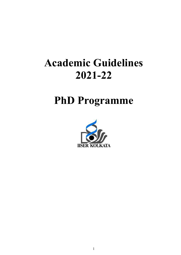# Academic Guidelines 2021-22

## PhD Programme

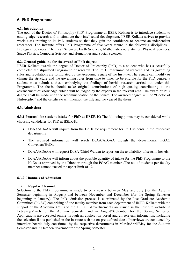## 6. PhD Programme

## 6.1. Introduction:

The goal of the Doctor of Philosophy (PhD) Programme at IISER Kolkata is to introduce students to cutting-edge research and to stimulate their intellectual development. IISER Kolkata strives to provide world-class training to its PhD students so that they gain the confidence to become an independent researcher. The Institute offers PhD Programme of five years tenure in the following disciplines – Biological Sciences, Chemical Sciences, Earth Sciences, Mathematics & Statistics, Physical Sciences, Space Physics, Computer Science, and Humanities and Social Sciences.

## 6.2. General guideline for the award of PhD degree:

IISER Kolkata awards the degree of Doctor of Philosophy (PhD) to a student who has successfully completed the stipulated Programme of research. The PhD Programme of research and its governing rules and regulations are formulated by the Academic Senate of the Institute. The Senate can modify or change the structure and the governing rules from time to time. To be eligible for the PhD degree, a student must submit a thesis embodying the findings of her/his research carried out under this Programme. The thesis should make original contributions of high quality, contributing to the advancement of knowledge, which will be judged by the experts in the relevant area. The award of PhD degree shall be made upon the recommendation of the Senate. The awarded degree will be "Doctor of Philosophy," and the certificate will mention the title and the year of the thesis.

## 6.3. Admission:

6.3.1 Protocol for student intake for PhD at IISER-K: The following points may be considered while choosing candidates for PhD at IISER-K:

- DoAA/ADoAA will inquire from the HoDs for requirement for PhD students in the respective departments
- The required information will reach DoAA/ADoAA though the departmental PGAC Conveners/HoDs.
- DoAA/ADoAA will request DoSA / Chief Warden to report on the availability of seats in hostels.
- DoAA/ADoAA will inform about the possible quantity of intake for the PhD Programme to the HoDs as approved by the Director through the PGAC members.The no. of students per faculty member cannot exceed the upper limit of 12.

## 6.3.2 Channels of Admission

## i. Regular Channel:

Selection to the PhD Programme is made twice a year - between May and July (for the Autumn Semester beginning in August) and between November and December (for the Spring Semester beginning in January). The PhD admission process is coordinated by the Post Graduate Academic Committee (PGAC) comprising of one faculty member from each department of IISER Kolkata with the support of the Academic Cell and the IT Cell. Advertisements are issued in the Institute website in February/March for the Autumn Semester and in August/September for the Spring Semester. Applications are accepted online through an application portal and all relevant information, including the selection list is published in the Institute website on pre-defined dates. Interviews are conducted by interview boards duly constituted by the respective departments in March/April/May for the Autumn Semester and in October/November for the Spring Semester.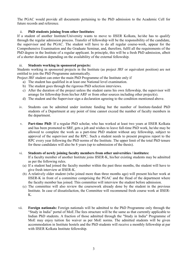The PGAC would provide all documents pertaining to the PhD admission to the Academic Cell for future records and reference.

## ii. PhD students joining from other Institutes:

If a student of another Institute/University wants to move to IISER Kolkata, he/she has to qualify through the regular admission process. Transfer of fellowship will be the responsibility of the candidate, the supervisor and the PGAC. The student will have to do all regular course-work, appear for the Comprehensive Examination and the Graduate Seminar, and, therefore, fulfil all the requirements of the PhD degree in the Institute of a regular applicant. In principle, this will be a fresh PhD admission, albeit of a shorter duration depending on the availability of the external fellowship.

## iii. Students working in sponsored projects:

Students working in sponsored projects in the Institute (as project JRF or equivalent position) are not entitled to join the PhD Programme automatically.

Project JRF student can enter the main PhD Programme of the Institute only if

- a) The student has qualified in at least one National level examination.
- b) The student goes through the rigorous PhD selection interviews.
- c) After the duration of the project unless the student earns his own fellowship, the supervisor will arrange for fellowship from his/her ARF or from other sources including other project(s).
- d) The student and the Supervisor sign a declaration agreeing to the condition mentioned above.
- iv. Students can be admitted under institute funding but the number of Institute-funded PhD students of a Department at any point of time cannot exceed the number of faculty members in the department.
- v. Part-time PhD: If a regular PhD scholar, who has worked at least two years at IISER Kolkata and has been promoted to SRF, gets a job and wishes to leave full-time PhD work, he/she may be allowed to complete the work as a part-time PhD student without any fellowship, subject to approval of the supervisor and the RPC. Such a student needs to present progress report to the RPC every year following the PhD norms of the Institute. The upper limit of the total PhD tenure for these candidates will also be 8 years (up to submission of the thesis).

#### vi. Students of newly joining faculty members from other universities / institutes:

If a faculty member of another Institute joins IISER-K, his/her existing students may be admitted as per the following rules.

- (a) If a student had joined the faculty member within the past three months, the student will have to give fresh interview at IISER-K.
- (b) A relatively older student (who joined more than three months ago) will present his/her work at IISER-K in front of a committee comprising the PGAC and the Head of the department where the faculty member has joined. This committee will interview the student before admission.
- (c) The committee will also review the coursework already done by the student in the previous Institute. In case of dissatisfaction, the Committee will recommend fresh course work at IISER-K.
- vii. Foreign nationals: Foreign nationals will be admitted to the PhD Programme only through the "Study in India" portal of MoE.The fees structure will be the same as that currently applicable to Indian PhD students. A fraction of those admitted through the "Study in India" Programme of MoE may enjoy tuition fee waiver as per MoE norms. The admitted students will be given accommodation in Institute hostels and the PhD students will receive a monthly fellowship at par with IISER Kolkata Institute fellowship.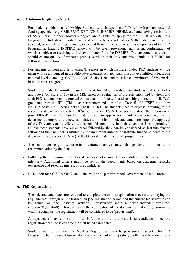## 6.3.3 Minimum Eligibility Criteria

- i. For students with own fellowship: Students with independent PhD fellowship from external funding agencies (e.g. CSIR, UGC, DBT, ICMR, INSPIRE, NBHM, etc.) and having a minimum of 55% marks in their Master's degree are eligible to apply for the IISER Kolkata PhD Programme. Industry-supported candidates may be considered as 'self-funded' and may be selected, provided they apply and get selected through the regular admission process of the PhD Programme. Initially INSPIRE fellows will be given provisional admission, confirmation of which is subject to receiving a final award letter from the INSPIRE. The concerned supervisors should ensure quality of research proposals which their PhD students submit to INSPIRE for fellowship activation.
- ii. For students without any fellowship: The areas in which Institute-funded PhD students will be taken will be announced in the PhD advertisement. An applicant must have qualified at least one national level exam, e.g. GATE, JGEEBILS, JEST etc. and must have a minimum of 55% marks in the Master's degree.
- iii. Students will also be admitted based on merit, for PhD, inter-alia, from students with CGPA of 8 and above (on scale of 10) in BS-MS, based on evaluation of projects submitted by them and such PhD students may be granted Assistantship in line with assistantship granted to B. Tech graduates from the IITs. (This is as per recommendation of the Council of NITSER vide Item No. 11.5 of its 11th meeting held on 18.07.2018.). The students need to express in writing to the respective departments by their  $10^{th}$ semester of the BS-MS Programme about their decision to join IISER-K. The shortlisted candidates need to appear for an interview conducted by the department along with the new candidates and the list of selected candidates upon the approval of the Director can be offered admission. Discontinuity in their education is not permitted. Unless these students have an external fellowship, they can be considered as institute funded fellow and their number is limited by the maximum number of institute funded students of the department (see section 1.15 (iv) of the General Guidelines for all programmes)
- iv. The minimum eligibility criteria mentioned above may change time to time upon recommendation by the Senate.
- v. Fulfilling the minimum eligibility criteria does not ensure that a candidate will be called for the interview. Additional criteria might be set by the departments based on academic records, experience and research interest of the candidates.
- vi. Relaxation for SC/ST & OBC candidates will be as per prescribed Government of India norms.

## 6.4 PhD Registration:

- i. The selected candidates are required to complete the online registration process after paying the requisite fees through online transaction [the registration period and the current fee structure can be found on the Institute website (https://www.iiserkol.ac.in/web/en/student-affair/feestructure/#gsc.tab=0)]. However, until the verification of the documents is done by comparing with the originals, the registration will be considered to be 'provisional'.
- ii. A department may choose to offer PhD position to the wait-listed candidates once the registration deadline is over for the first listed candidates.
- iii. Students waiting for their final Masters Degree result may be provisionally selected for PhD Programme but they must furnish the final result (mark-sheet) satisfying the qualification criteria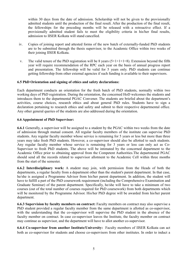within 30 days from the date of admission. Scholarship will not be given to the provisionally admitted students until the production of the final result. After the production of the final result, the fellowships for the preceding months will be released with a retroactive effect. If a provisionally admitted student fails to meet the eligibility criteria in his/her final results, admission to IISER Kolkata will stand cancelled.

- iv. Copies of joining report and attested forms of the new batch of externally-funded PhD students are to be submitted through the thesis supervisor, to the Academic Office within two weeks of their joining IISER Kolkata.
- v. The valid tenure of the PhD registration will be 8 years  $(5+1+1+1=8)$ . Extension beyond the fifth year will require recommendation of the RPC each year on the basis of annual progress report and presentation. The fellowship will be valid for 5 years only. PhD students can continue getting fellowship from other external agencies if such funding is available to their supervisors.

#### 6.5 PhD Orientation and signing of ethics and safety declarations:

Each department conducts an orientation for the fresh batch of PhD students, normally within two working days of PhD registration. During the orientation, the concerned HoD welcomes the students and introduces them to the departmental PGAC Convener. The students are briefed about the department's activities, course choices, research ethics and about general PhD rules. Students have to sign a declaration pertaining to research ethics and safety and submit to their respective departmental office. Any other general queries of the students are also addressed during the orientation.

#### 6.6 Appointment of PhD Supervisor:

6.6.1 Generally, a supervisor will be assigned to a student by the PGAC within two weeks from the date of admission through mutual consent. All regular faculty members of the institute can supervise PhD students. Any regular faculty member whose service is remaining for 5 years or less but more than three years may take fresh PhD students. However, a co-supervisor should also be allotted to such students. Any regular faculty member whose service is remaining for 3 years or less can only act as Co-Supervisor to fresh PhD students. The above will be intimated by the concerned department to the Academic Office prior to obtaining approval from the Competent Authorities.The departmental PGAC should send all the records related to supervisor allotment to the Academic Cell within three months from the start of the semester.

6.6.2 Interdisciplinary work: A student may join, with permission from the Heads of both the departments, a regular faculty from a department other than the student's parent department. In that case, he/she is assigned a Programme Advisor from his/her parent department. In addition, the student will have to fulfill a part of the PhD coursework requirement (including the Comprehensive Examination and Graduate Seminar) of the parent department. Specifically, he/she will have to take a minimum of two courses (out of the total number of courses required for PhD coursework) from both departments which will be monitored by the Programme Advisor. His/her PhD degree will be awarded from his/her parent department.

6.6.3 Supervision by faculty members on contract: Faculty members on contract may also supervise a PhD student provided a regular faculty member from the same department is allotted as co-supervisor, with the understanding that the co-supervisor will supervise the PhD student in the absence of the faculty member on contract. In case co-supervisor leaves the Institute, the faculty member on contract may continue as supervisor, and the department will have to allot another co-supervisor.

6.6.4 Co-supervisor from another Institute/University: Faculty members of IISER Kolkata can act both as co-supervisor for students and choose co-supervisors from other institutes. In order to induct a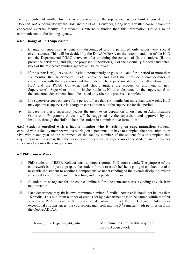faculty member of another Institute as a co-supervisor, the supervisor has to submit a request to the DoAA/ADoAA, forwarded by the HoD and the PGAC Convener, along with a written consent from the concerned external faculty. If a student is externally funded then this information should also be communicated to the funding agency.

## 6.6.5 Change of PhD Supervisor:

- i. Change of supervisor is generally discouraged and is permitted only under very special circumstances. This will be decided by the DoAA/ADoAA on the recommendation of the HoD and the Departmental PGAC convener after obtaining the consent of (i) the student, (ii) the present Supervisor(s) and (iii) the proposed Supervisor(s). For the externally funded candidates, rules of the respective funding agency will be followed.
- ii. If the supervisor(s) leave/s the Institute permanently or goes on leave for a period of more than six months, the Departmental PGAC convener and HoD shall provide a co-supervisor in consultation with the supervisor and the student. The supervisor should officially intimate the HoD and the PGAC Convener, and should initiate the process of allotment of new Supervisor/Co-Supervisor for all of his/her students. No-dues clearance for the supervisor from the concerned department should be issued only after this process is completed.
- iii. If a supervisor goes on leave for a period of less than six months but more than two weeks, HoD may appoint a supervisor in-charge in consultation with the supervisor for that period.
- iv. In case the thesis supervisor leaves the institute on deputation or on lien, an Administrative Guide or a Programme Advisor will be suggested by the supervisor and approved by the Institute, through the HoD, to help the student in administrative formalities.

6.6.6 Students enrolled with a faculty member who is retiring on superannuation: Students enrolled with a faculty member who is retiring on superannuation have to complete their pre-submission viva within one year of the retirement of the faculty member. If the student fails to complete this requirement within a year, then the co-supervisor becomes the supervisor of the student, and the former supervisor becomes the co-supervisor.

## 6.7 PhD Course Work:

- i. PhD students of IISER Kolkata must undergo rigorous PhD course work. The purpose of the coursework is not just to prepare the student for the research he/she is going to conduct, but also to enable the student to acquire a comprehensive understanding of the overall discipline, which is needed for a fruitful career in teaching and independent research.
- ii. A student must register for the courses online before the semester starts, avoiding any clash in the timetable.
- iii. Each department may fix its own minimum number of credits; however it should not be less than 16 credits. This minimum number of credits set by a department has to be earned within the first year by a PhD student of the respective department to get the PhD degree. Only under exceptional circumstances, the coursework may spill into the  $3<sup>rd</sup>$  semester, with permission from the DoAA/ADoAA.

| Name of the Department/Centre | Minimum nos. of credits required |
|-------------------------------|----------------------------------|
|                               | for PhD coursework               |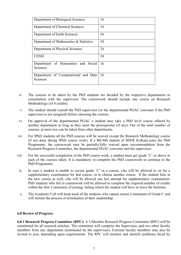| Department of Biological Sciences                | 16  |
|--------------------------------------------------|-----|
| Department of Chemical Sciences                  | 16  |
| Department of Earth Sciences                     | 16  |
| Department of Mathematics & Statistics           | 24  |
| Department of Physical Sciences                  | 24  |
| <b>CESSI</b>                                     | 24  |
| Department of Humanities and Social<br>Sciences  | -16 |
| Department of Computational and Data<br>Sciences | -16 |

- iv. The courses to be taken by the PhD students are decided by the respective departments in consultation with the supervisor. The coursework should include one course on Research Methodology (of 4 credits).
- v. The student should consult the PhD supervisor (or the departmental PGAC convener if the PhD supervisor is not assigned) before choosing the courses.
- vi. On approval of the departmental PGAC a student may take a PhD level course offered by another department as long as they meet the prerequisites (if any). Out of the total number of courses, at most two can be taken from other departments.
- vii. For IPhD students all the PhD courses will be waived except the Research Methodology course (if not done during IPhD course work). If a BS-MS student of IISER Kolkata joins the PhD Programme, the coursework may be partially/fully waived upon recommendation from the Research Progress Committee, the departmental PGAC convener and the supervisor.
- viii. For the successful completion of the PhD course work, a student must get grade 'C' or above in each of the courses taken. It is mandatory to complete the PhD coursework to continue in the PhD Programme.
	- ix. In case a student is unable to secure grade 'C' in a course, s/he will be allowed to sit for a supplementary examination for that course, or to choose another course. If the student fails in the new course as well, s/he will be allowed one last attempt for supplementary examination. PhD students who fail in coursework will be allowed to complete the required number of credits within the first 3 semesters of joining, failing which the student will have to leave the Institute.
	- x. The Academic Cell will keep track of the students who cannot secure a minimum of Grade C and will initiate the process of termination of their studentship.

#### 6.8 Review of Progress:

6.8.1 Research Progress Committee (RPC): A 3-Member Research Progress Committee (RPC) will be constituted for all research scholars. The committee will comprise the Supervisor, and two other faculty members from any department (nominated by the supervisor). External faculty members may also be invited to join, depending upon requirements. The RPC will monitor and identify problems faced by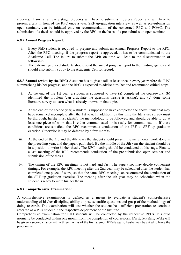students, if any, at an early stage. Students will have to submit a Progress Report and will have to present a talk in front of the RPC once a year. SRF up-gradation interview, as well as pre-submission open seminars, can be initiated only on recommendation of the concerned RPC and PGAC. The submission of a thesis should be approved by the RPC on the basis of a pre-submission open seminar.

#### 6.8.2 Annual Progress Report:

- i. Every PhD student is required to prepare and submit an Annual Progress Report to the RPC. After the RPC meeting, if the progress report is approved, it has to be communicated to the Academic Cell. The failure to submit the APR on time will lead to the discontinuation of fellowship.
- ii. The externally-funded students should send the annual progress report to the funding agency and should also submit a copy to the Academic Cell for record.

6.8.3 Annual review by the RPC: A student has to give a talk at least once in every yearbefore the RPC summarizing his/her progress, and the RPC is expected to advise him/ her and recommend critical steps.

- i. At the end of the 1st year, a student is supposed to have (a) completed the coursework, (b) identified the problem (can articulate the questions he/she is asking), and (c) done some literature survey to learn what is already known on that topic.
- ii. At the end of the second year, a student is supposed to have completed the above items that may have remained incomplete after the 1st year. In addition, by this time the literature survey must be thorough, he/she must identify the methodology to be followed, and should be able to do at least one piece of work that is either communicated or is ready for communication. If these conditions are satisfied, the RPC recommends conduction of the JRF to SRF up-gradation exercise. Otherwise it may be deferred by a few months.
- iii. At the end of the 3rd and the 4th years the student should present the incremental work done in the preceding year, and the papers published. By the middle of the 5th year the student should be in a position to write his/her thesis. The RPC meeting should be conducted at this stage. Finally, a last meeting of the RPC recommends conduction of the pre-submission open seminar and submission of the thesis.
- iv. The timing of the RPC meetings is not hard and fast. The supervisor may decide convenient timings. For example, the RPC meeting after the 2nd year may be scheduled after the student has completed one piece of work, so that the same RPC meeting can recommend the conduction of the SRF up-gradation exercise. The meeting after the 4th year may be scheduled when the student is ready to write his/her thesis.

## 6.8.4 Comprehensive Examination:

A comprehensive examination is defined as a means to evaluate a student's comprehensive understanding of his/her discipline, ability to pose scientific questions and grasp of the methodology of doing research. The examination will test whether the student has sufficient preparation to continue research as a PhD student in the respective department of the Institute.

Comprehensive examination for PhD students will be conducted by the respective RPCs. It should normally be conducted within one month from the completion of coursework. If a student fails, he/she will be given a second chance within three months of the first attempt. If fails again, he/she may be asked to leave the programme.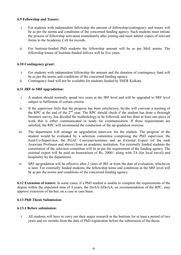## 6.9 Fellowship and Tenure:

- i. For students with independent fellowship the amount of fellowship/contingency and tenure will be as per the norms and conditions of the concerned funding agency. Such students must initiate the process of fellowship activation immediately after joining and must submit copies of relevant forms to the Academic Cell for records.
- ii. For Institute-funded PhD students the fellowship amount will be as per MoE norms. The fellowship tenure of Institute-funded fellows will be five years.

## 6.10 Contingency grant:

- i. For students with independent fellowship the amount and the duration of contingency fund will be as per the norms and conditions of the concerned funding agency.
- ii. Contingency fund will not be available for students funded by IISER Kolkata.

## 6.11 JRF to SRF upgradation:

- i. A student should normally spend two years at the JRF level and will be upgraded to SRF level subject to fulfilment of certain criteria.
- ii. If the supervisor feels that the progress has been satisfactory, he/she will convene a meeting of the RPC at the end of the 2<sup>nd</sup> year. The RPC should check if the student has done a thorough literature survey, has decided the methodology to be followed, and has done at least one piece of work that is either communicated or ready for communication. If these requirements are satisfied, the RPC will recommend the conduction of the up-gradation exercise.
- iii. The department will arrange an upgradation interview for the student. The progress of the student would be evaluated by a selection committee comprising the PhD supervisor, the Joint/Co-Supervisor, the PGAC Convener/nominee and an External Expert (of the rank Associate Professor and above) from an academic institution. For externally funded students the constitution of the selection committee will be as per the requirement of the funding agency. The external expert will be paid an honorarium of Rs. 2000/- along with TA (for local travel) and hospitality by the department.
- iv. SRF up-gradation will be effective after 2 years of JRF or from the date of evaluation, whichever is later. For externally funded students, the fellowship terms and conditions at the SRF level will be as per the norms and conditions of the concerned funding agency.

6.12 Extension of tenure: In some cases, if a PhD student is unable to complete the requirements of the degree within the stipulated time of 5 years, the DoAA/ADoAA, on recommendation of the RPC, may approve extension of his/her, on a case to case basis.

## 6.13 PhD Thesis Submission:

## 6.13.1 Before submission:

i. All students will have to carry out their major research in the Institute for at least a period of two years and six months from the date of PhD registration before the submission of the thesis.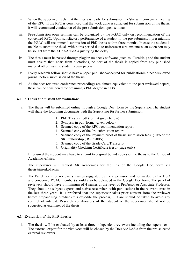- ii. When the supervisor feels that the thesis is ready for submission, he/she will convene a meeting of the RPC. If the RPC is convinced that the work done is sufficient for submission of the thesis, it will recommend conduction of the pre-submission open seminar.
- iii. Pre-submission open seminar can be organized by the PGAC only on recommendation of the concerned RPC. Upon satisfactory performance of a student in the pre-submission presentation, the PGAC will recommend submission of PhD thesis within three months. In case the student is unable to submit the thesis within this period due to unforeseen circumstances, an extension may be sought from the ADoAA/DoAA justifying the delay.
- iv. The thesis must be passed through plagiarism check software (such as 'Turnitin') and the student must ensure that, apart from quotations, no part of the thesis is copied from any published material other than the student's own papers.
- v. Every research fellow should have a paper published/accepted for publicationin a peer-reviewed journal before submission of the thesis.
- vi. As the peer reviewed conference proceedings are almost equivalent to the peer reviewed papers, these can be considered for obtaining a PhD degree in CDS.

#### 6.13.2 Thesis submission for evaluation:

- i. The thesis will be submitted online through a Google Doc. form by the Supervisor. The student will share the following documents with the Supervisor for further submission:
	- 1. PhD Thesis in pdf (format given below)
	- 2. Synopsis in pdf (format given below)
	- 3. Scanned copy of the RPC recommendation report
	- 4. Scanned copy of the Pre-submission report
	- 5. Scanned copy of the Payment proof of thesis submission fees [(10% of the SRF fellowship ( Rs. 3500/-)]
	- 6. Scanned copy of the Grade Card/Transcript
	- 7. Originality Checking Certificate (result page only)

If required the student may have to submit two spiral bound copies of the thesis to the Office of Academic Affairs.

The supervisor will request AR Academics for the link of the Google Doc. form via thesis@iiserkol.ac.in

ii. The Panel Form for reviewers' names suggested by the supervisor (and forwarded by the HoD and concerned PGAC member) should also be uploaded in the Google Doc form. The panel of reviewers should have a minimum of 4 names at the level of Professor or Associate Professor. They should be subject experts and active researchers with publications in the relevant areas in the last three years. It is preferred that the supervisor takes prior consent from the reviewer before empanelling him/her (this expedite the process). Care should be taken to avoid any conflict of interest. Research collaborators of the student or the supervisor should not be suggested as examiner of the thesis.

#### 6.14 Evaluation of the PhD Thesis:

i. The thesis will be evaluated by at least three independent reviewers including the supervisor – The external expert for the viva-voce will be chosen by the DoAA/ADoAA from the pre-selected external reviewers.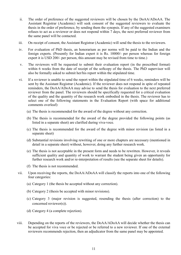- ii. The order of preference of the suggested reviewers will be chosen by the DoAA/ADoAA. The Assistant Registrar (Academic) will seek consent of the suggested reviewers to evaluate the thesis in the order of preference, by sending them the synopsis. If any of the suggested examiners refuses to act as a reviewer or does not respond within 7 days, the next preferred reviewer from the same panel will be contacted.
- iii. On receipt of consent, the Assistant Registrar (Academic) will send the thesis to the reviewers.
- iv. For evaluation of PhD thesis, an honorarium as per norms will be paid to the Indian and the foreign experts. (Presently for Indian expert it is Rs. 10000/- per person whereas for foreign expert it is USD 200/- per person, this amount may be revised from time to time.)
- v. The reviewers will be requested to submit their evaluation report (in the prescribed format) within 6 weeks from the date of receipt of the softcopy of the thesis. The PhD supervisor will also be formally asked to submit her/his report within the stipulated time.
- vi. If a reviewer is unable to send the report within the stipulated time of 6 weeks, reminders will be sent by the Assistant Registrar (Academic). If the reviewer does not respond in spite of repeated reminders, the DoAA/ADoAA may advise to send the thesis for evaluation to the next preferred reviewer from the panel. The reviewers should be specifically requested for a critical evaluation of the quality and the quantity of the research work embodied in the thesis. The reviewer has to select one of the following statements in the Evaluation Report (with space for additional comments overleaf):
	- (a) The thesis is recommended for the award of the degree without any correction.
	- (b) The thesis is recommended for the award of the degree provided the following points (as listed in a separate sheet) are clarified during viva-voce.
	- (c) The thesis is recommended for the award of the degree with minor revision (as listed in a separate sheet)
	- (d) Substantial revisions involving rewriting of one or more chapters are necessary (mentioned in detail in a separate sheet) without, however, doing any further research work.
	- (e) The thesis is not acceptable in the present form and needs to be rewritten. However, it reveals sufficient quality and quantity of work to warrant the student being given an opportunity for further research work and/or re-interpretation of results (see the separate sheet for details).
	- (f) The thesis is not recommended.
- vii. Upon receiving the reports, the DoAA/ADoAA will classify the reports into one of the following four categories:
	- (a) Category 1 (the thesis be accepted without any correction).
	- (b) Category 2 (thesis be accepted with minor revisions).
	- (c) Category 3 (major revision is suggested, resending the thesis (after correction) to the concerned reviewer(s)).
	- (d) Category 4 (a complete rejection).
- viii. Depending on the reports of the reviewers, the DoAA/ADoAA will decide whether the thesis can be accepted for viva voce or be rejected or be referred to a new reviewer. If one of the external reviewers recommends rejection, then an adjudicator from the same panel may be appointed.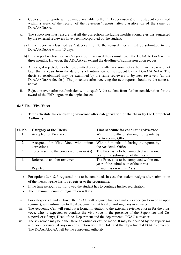- ix. Copies of the reports will be made available to the PhD supervisor(s) of the student concerned within a week of the receipt of the reviewers' reports, after classification of the same by DoAA/ADoAA.
- x. The supervisor must ensure that all the corrections including modifications/revisions suggested by the external reviewers have been incorporated by the student.
	- (a) If the report is classified as Category 1 or 2, the revised thesis must be submitted to the DoAA/ADoAA within 15 days;
	- (b) If the report is classified as Category 3, the revised thesis must reach the DoAA/ADoAA within three months. However, the ADoAA can extend the deadline of submission upon request.
- i. A thesis, if rejected, may be resubmitted once only after revision, not earlier than 1 year and not later than 2 years from the date of such intimation to the student by the DoAA/ADoAA. The thesis so resubmitted may be examined by the same reviewers or by new reviewers (as the DoAA/ADoAA decides). The procedure after receiving the new reports should be the same as above.
- ii. Rejection even after resubmission will disqualify the student from further consideration for the award of the PhD degree in the topic chosen.

#### 6.15 Final Viva Voce:

i. Time schedule for conducting viva-voce after categorization of the thesis by the Competent Authority:

| <b>Sl. No.</b> | <b>Category of the Thesis</b>             | Time schedule for conducting viva-voce    |
|----------------|-------------------------------------------|-------------------------------------------|
|                | Accepted for Viva Voce                    | Within 3 months of sharing the reports by |
|                |                                           | the Academic Office                       |
| 2.             | Accepted for Viva Voce with minor         | Within 6 months of sharing the reports by |
|                | corrections                               | the Academic Office                       |
| 3.             | To be resent to the concerned reviewer(s) | The Process is to be completed within one |
|                |                                           | year of the submission of the thesis      |
| 4.             | Referred to another reviewer              | The Process is to be completed within one |
|                |                                           | year of the submission of the thesis      |
|                | Rejected                                  | Resubmission within 2 yrs.                |

- For options 3, 4  $\&$  5 registration is to be continued. In case the student resigns after submission of the thesis, he/she has to re-register to the programme.
- If the time period is not followed the student has to continue his/her registration.
- The maximum tenure of registration is 8 yrs.
- ii. For categories 1 and 2 above, the PGAC will organize his/her final viva voce (in form of an open seminar), with intimation to the Academic Cell at least 7 working days in advance.
- iii. The Academic Cell will send out a formal invitation to the external reviewer chosen for the vivavoce, who is expected to conduct the viva voce in the presence of the Supervisor and Cosupervisor (if any), Head of the Department and the departmental PGAC convener.
- iv. The viva-voce may be either through online or offline mode. It may be decided by the supervisor and co-supervisor (if any) in consultation with the HoD and the departmental PGAC convener. The DoAA/ADoAA will be the approving authority.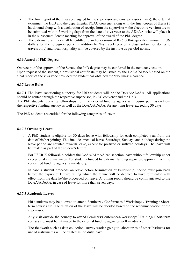- v. The final report of the viva voce signed by the supervisor and co-supervisor (if any), the external examiner, the HoD and the departmental PGAC convener along with the final copies of thesis (1 hardbound along with a declaration of receipt from the supervisor + the electronic version) are to be submitted within 7 working days from the date of viva voce to the ADoAA, who will place it in the subsequent Senate meeting for approval of the award of the PhD degree.
- vi. The external examiner shall be entitled to an honorarium of Rs 5,000/-(equivalent amount in US dollars for the foreign expert). In addition her/his travel (economy class airfare for domestic travels only) and local hospitality will be covered by the institute as per GoI norms.

## 6.16 Award of PhD Degree:

On receipt of the approval of the Senate, the PhD degree may be conferred in the next convocation. Upon request of the student, a provisional certificate may be issued by the DoAA/ADoAA based on the final report of the viva voce provided the student has obtained the 'No Dues' clearance.

## 6.17 Leave Rules:

6.17.1 The leave sanctioning authority for PhD students will be the DoAA/ADoAA. All applications should be routed through the respective supervisor, PGAC convener and the HoD. The PhD students receiving fellowships from the external funding agency will require permission from the respective funding agency as well as the DoAA/ADoAA, for any long leave exceeding 30 days.

The PhD students are entitled for the following categories of leave:

## 6.17.2 Ordinary Leave:

- i. A PhD student is eligible for 30 days leave with fellowship for each completed year from the date of his/her joining. This includes medical leave. Saturdays, Sundays and holidays during the leave period are counted towards leave, except for prefixed or suffixed holidays. The leave will be treated as part of the student's tenure.
- ii. For IISER-K fellowship holders the DoAA/ADoAA can sanction leave without fellowship under exceptional circumstances. For students funded by external funding agencies, approval from the concerned funding agency is mandatory.
- iii. In case a student proceeds on leave before termination of Fellowship, he/she must join back before the expiry of tenure; failing which the tenure will be deemed to have terminated with effect from the date he/she proceeded on leave. A joining report should be communicated to the DoAA/ADoAA, in case of leave for more than seven days.

## 6.17.3 Academic Leave:

- i. PhD students may be allowed to attend Seminars / Conferences / Workshops / Training / Shortterm courses etc. The duration of the leave will be decided based on the recommendation of the supervisor.
- ii. Any visit outside the country to attend Seminars/Conferences/Workshops/ Training/ Short-term courses etc. must be intimated to the external funding agencies well in advance.
- iii. The fieldwork such as data collection, survey work / going to laboratories of other Institutes for use of instruments will be treated as 'on duty leave'.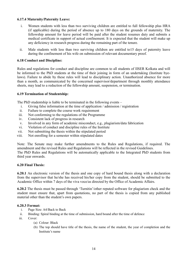## 6.17.4 Maternity/Paternity Leave:

- i. Women students with less than two surviving children are entitled to full fellowship plus HRA (if applicable) during the period of absence up to 180 days on the grounds of maternity. The fellowship amount for leave period will be paid after the student resumes duty and submits a medical certificate in support of actual confinement. It is expected that the student will make up any deficiency in research progress during the remaining part of the tenure.
- ii. Male students with less than two surviving children are entitled to15 days of paternity leave during the confinement of his wife on submission of relevant documentary proof.

#### 6.18 Conduct and Discipline:

Rules and regulations for conduct and discipline are common to all students of IISER Kolkata and will be informed to the PhD students at the time of their joining in form of an undertaking (Institute byelaws). Failure to abide by these rules will lead to disciplinary action. Unauthorized absence for more than a month, as communicated by the concerned supervisor/department through monthly attendance sheets, may lead to a reduction of the fellowship amount, suspension, or termination.

#### 6.19 Termination of Studentship:

The PhD studentship is liable to be terminated in the following events –

- i. Giving false information at the time of application / admission / registration
- ii. Failure to complete the course work requirement
- iii. Not conforming to the regulations of the Programme
- iv. Consistent lack of progress in research
- v. Involved in any form of academic misconduct, e.g., plagiarism/data fabrication
- vi. Violation of conduct and discipline rules of the Institute
- vii. Not submitting the thesis within the stipulated period
- viii. Not enrolling for a semester within stipulated dates

Note: The Senate may make further amendments to the Rules and Regulations, if required. The amendment and the revised Rules and Regulations will be reflected in the revised Guidelines. The PhD Rules and Regulations will be automatically applicable to the Integrated PhD students from

third year onwards.

#### 6.20 Final Thesis:

6.20.1 An electronic version of the thesis and one copy of hard bound thesis along with a declaration from the supervisor that he/she has received his/her copy from the student, should be submitted to the Academic Office within 7 days of the viva voce/as directed by the Office of Academic Affairs.

6.20.2 The thesis must be passed through 'Turnitin'/other reputed software for plagiarism check and the student must ensure that, apart from quotations, no part of the thesis is copied from any published material other than the student's own papers.

#### 6.20.3 Format:

- i. Page Size: A4/Back to Back
- ii. Binding: Spiral binding at the time of submission, hard bound after the time of defence
- iii. Cover:
	- (a) Colour: Black
	- (b) The top should have title of the thesis, the name of the student, the year of completion and the Institute's name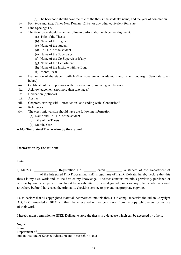- (c) The backbone should have the title of the thesis, the student's name, and the year of completion.
- iv. Font type and Size: Times New Roman, 12 Pts. or any other equivalent font size.
- v. Line Spacing: 1.5
- vi. The front page should have the following information with centre alignment:
	- (a) Title of the Thesis
	- (b) Name of the degree
	- (c) Name of the student
	- (d) Roll No. of the student
	- (e) Name of the Supervisor
	- (f) Name of the Co-Supervisor if any
	- (g) Name of the Department
	- (h) Name of the Institute with its Logo
	- (i) Month, Year
- vii. Declaration of the student with his/her signature on academic integrity and copyright (template given below)
- viii. Certificate of the Supervisor with his signature (template given below)
- ix. Acknowledgement (not more than two pages)
- x. Dedication (optional)
- xi. Abstract
- xii. Chapters, starting with 'Introduction" and ending with "Conclusion"
- xiii. References
- xiv. The electronic version should have the following information:
	- (a) Name and Roll No. of the student
	- (b) Title of the Thesis
	- (c) Month, Year

#### 6.20.4 Template of Declaration by the student

## Declaration by the student

Date:

I, Mr./Ms. \_\_\_\_\_\_\_\_\_\_\_\_\_\_\_\_\_ Registration No. \_\_\_\_\_\_\_\_ dated \_\_\_\_\_\_\_\_, a student of the Department of of the Integrated PhD Programme/ PhD Programme of IISER Kolkata, hereby declare that this thesis is my own work and, to the best of my knowledge, it neither contains materials previously published or written by any other person, nor has it been submitted for any degree/diploma or any other academic award anywhere before. I have used the originality checking service to prevent inappropriate copying.

I also declare that all copyrighted material incorporated into this thesis is in compliance with the Indian Copyright Act, 1957 (amended in 2012) and that I have received written permission from the copyright owners for my use of their work.

I hereby grant permission to IISER Kolkata to store the thesis in a database which can be accessed by others.

Signature Name Department of Indian Institute of Science Education and Research Kolkata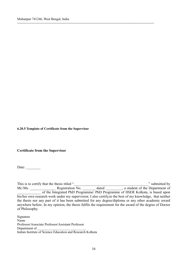6.20.5 Template of Certificate from the Supervisor

#### Certificate from the Supervisor

Date: \_\_\_\_\_\_\_\_

This is to certify that the thesis titled "<br>
"submitted by" Mr./Ms. Registration No. \_\_\_\_\_\_\_\_ dated \_\_\_\_\_\_\_, a student of the Department of of the Integrated PhD Programme/ PhD Programme of IISER Kolkata, is based upon his/her own research work under my supervision. I also certify,to the best of my knowledge, that neither the thesis nor any part of it has been submitted for any degree/diploma or any other academic award anywhere before. In my opinion, the thesis fulfils the requirement for the award of the degree of Doctor of Philosophy.

---------------------------------------------------------------------------------------------------------------------------

Signature Name Professor/Associate Professor/Assistant Professor Department of Indian Institute of Science Education and Research Kolkata